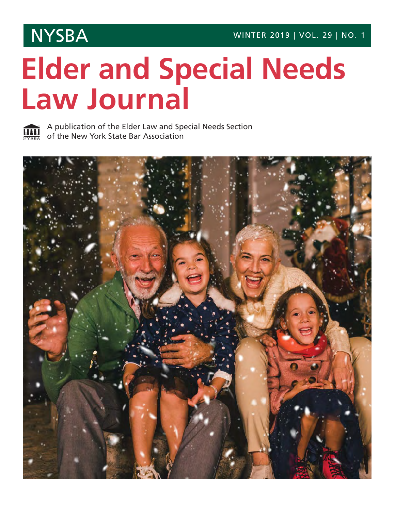## **Elder and Special Needs Law Journal**



A publication of the Elder Law and Special Needs Section of the New York State Bar Association

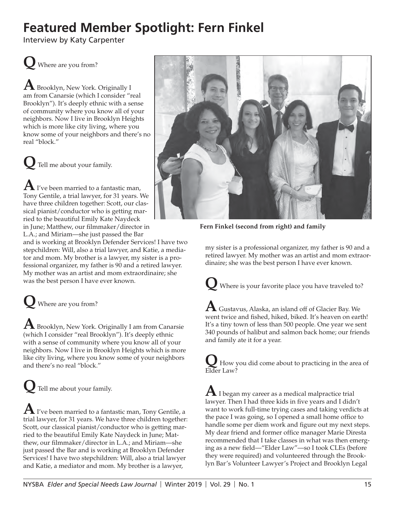## **Featured Member Spotlight: Fern Finkel**

Interview by Katy Carpenter

**Q** Where are you from?

**A** Brooklyn, New York. Originally I am from Canarsie (which I consider "real Brooklyn"). It's deeply ethnic with a sense of community where you know all of your neighbors. Now I live in Brooklyn Heights which is more like city living, where you know some of your neighbors and there's no real "block."

**Q** Tell me about your family.

**A** I've been married to a fantastic man, Tony Gentile, a trial lawyer, for 31 years. We have three children together: Scott, our classical pianist/conductor who is getting married to the beautiful Emily Kate Naydeck in June; Matthew, our filmmaker/director in L.A.; and Miriam—she just passed the Bar

and is working at Brooklyn Defender Services! I have two stepchildren: Will, also a trial lawyer, and Katie, a mediator and mom. My brother is a lawyer, my sister is a professional organizer, my father is 90 and a retired lawyer. My mother was an artist and mom extraordinaire; she was the best person I have ever known.

**Q** Where are you from?

**A** Brooklyn, New York. Originally I am from Canarsie (which I consider "real Brooklyn"). It's deeply ethnic with a sense of community where you know all of your neighbors. Now I live in Brooklyn Heights which is more like city living, where you know some of your neighbors and there's no real "block."

**Q** Tell me about your family.

**A** I've been married to a fantastic man, Tony Gentile, a trial lawyer, for 31 years. We have three children together: Scott, our classical pianist/conductor who is getting married to the beautiful Emily Kate Naydeck in June; Matthew, our filmmaker/director in L.A.; and Miriam-she just passed the Bar and is working at Brooklyn Defender Services! I have two stepchildren: Will, also a trial lawyer and Katie, a mediator and mom. My brother is a lawyer,



**Fern Finkel (second from right) and family**

my sister is a professional organizer, my father is 90 and a retired lawyer. My mother was an artist and mom extraordinaire; she was the best person I have ever known.

**Q** Where is your favorite place you have traveled to?

 ${\bf A}$  Gustavus, Alaska, an island off of Glacier Bay. We went twice and fished, hiked, biked. It's heaven on earth! It's a tiny town of less than 500 people. One year we sent 340 pounds of halibut and salmon back home; our friends and family ate it for a year.

 $\sum_{\text{rel}}$  How you did come about to practicing in the area of Elder Law?

 ${\bf A}$  I began my career as a medical malpractice trial lawyer. Then I had three kids in five years and I didn't want to work full-time trying cases and taking verdicts at the pace I was going, so I opened a small home office to handle some per diem work and figure out my next steps. My dear friend and former office manager Marie Diresta recommended that I take classes in what was then emerging as a new field—"Elder Law"—so I took CLEs (before they were required) and volunteered through the Brooklyn Bar's Volunteer Lawyer's Project and Brooklyn Legal